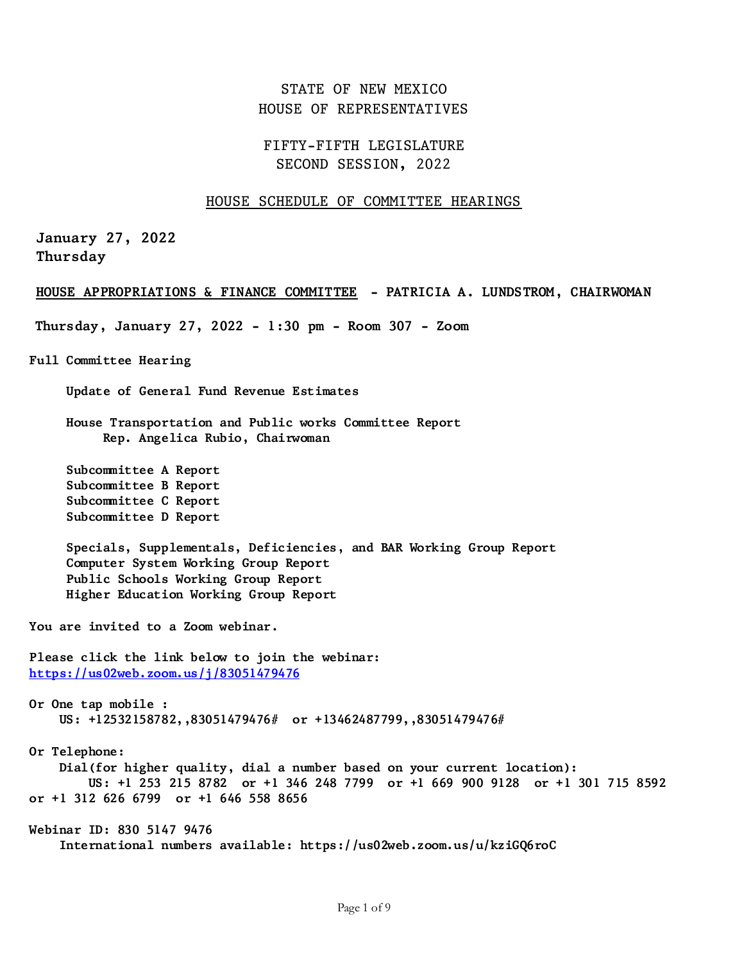# STATE OF NEW MEXICO HOUSE OF REPRESENTATIVES

# FIFTY-FIFTH LEGISLATURE SECOND SESSION, 2022

## HOUSE SCHEDULE OF COMMITTEE HEARINGS

**January 27, 2022 Thursday**

### **HOUSE APPROPRIATIONS & FINANCE COMMITTEE - PATRICIA A. LUNDSTROM, CHAIRWOMAN**

**Thursday, January 27, 2022 - 1:30 pm - Room 307 - Zoom** 

**Full Committee Hearing**

 **Update of General Fund Revenue Estimates**

 **House Transportation and Public works Committee Report Rep. Angelica Rubio, Chairwoman**

 **Subcommittee A Report Subcommittee B Report Subcommittee C Report Subcommittee D Report**

 **Specials, Supplementals, Deficiencies, and BAR Working Group Report Computer System Working Group Report Public Schools Working Group Report Higher Education Working Group Report**

**You are invited to a Zoom webinar.**

**Please click the link below to join the webinar: <https://us02web.zoom.us/j/83051479476>**

**Or One tap mobile : US: +12532158782,,83051479476# or +13462487799,,83051479476#**

**Or Telephone: Dial(for higher quality, dial a number based on your current location): US: +1 253 215 8782 or +1 346 248 7799 or +1 669 900 9128 or +1 301 715 8592 or +1 312 626 6799 or +1 646 558 8656**

**Webinar ID: 830 5147 9476 International numbers available: https://us02web.zoom.us/u/kziGQ6roC**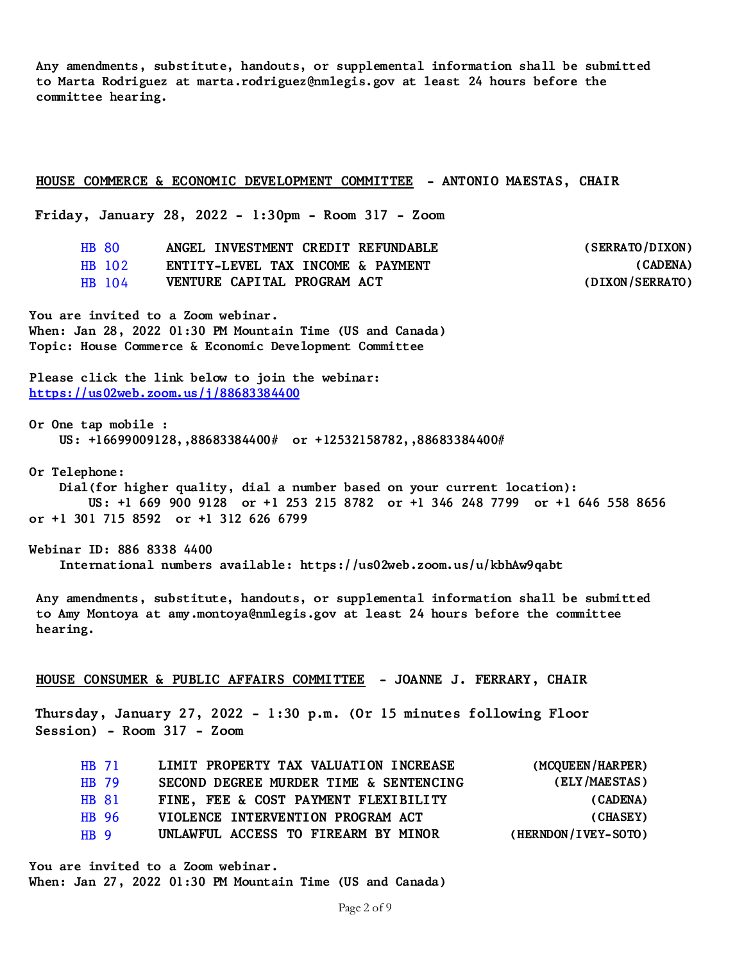**Any amendments, substitute, handouts, or supplemental information shall be submitted to Marta Rodriguez at marta.rodriguez@nmlegis.gov at least 24 hours before the committee hearing.**

#### **HOUSE COMMERCE & ECONOMIC DEVELOPMENT COMMITTEE - ANTONIO MAESTAS, CHAIR**

**Friday, January 28, 2022 - 1:30pm - Room 317 - Zoom**

| HB 80  | ANGEL INVESTMENT CREDIT REFUNDABLE | (SERRATO/DIXON) |
|--------|------------------------------------|-----------------|
| HB 102 | ENTITY-LEVEL TAX INCOME & PAYMENT  | (CADENA)        |
| HB 104 | VENTURE CAPITAL PROGRAM ACT        | (DIXON/SERRATO) |

**You are invited to a Zoom webinar. When: Jan 28, 2022 01:30 PM Mountain Time (US and Canada) Topic: House Commerce & Economic Development Committee**

**Please click the link below to join the webinar: <https://us02web.zoom.us/j/88683384400>**

**Or One tap mobile : US: +16699009128,,88683384400# or +12532158782,,88683384400#**

**Or Telephone:**

 **Dial(for higher quality, dial a number based on your current location): US: +1 669 900 9128 or +1 253 215 8782 or +1 346 248 7799 or +1 646 558 8656 or +1 301 715 8592 or +1 312 626 6799**

**Webinar ID: 886 8338 4400 International numbers available: https://us02web.zoom.us/u/kbhAw9qabt**

**Any amendments, substitute, handouts, or supplemental information shall be submitted to Amy Montoya at amy.montoya@nmlegis.gov at least 24 hours before the committee hearing.**

### **HOUSE CONSUMER & PUBLIC AFFAIRS COMMITTEE - JOANNE J. FERRARY, CHAIR**

**Thursday, January 27, 2022 - 1:30 p.m. (Or 15 minutes following Floor Session) - Room 317 - Zoom**

|      | HB 71 | LIMIT PROPERTY TAX VALUATION INCREASE  | (MCQUEEN/HARPER)    |
|------|-------|----------------------------------------|---------------------|
|      | HB 79 | SECOND DEGREE MURDER TIME & SENTENCING | (ELY/MAESTAS)       |
|      | HB 81 | FINE, FEE & COST PAYMENT FLEXIBILITY   | (CADENA)            |
|      | HB 96 | VIOLENCE INTERVENTION PROGRAM ACT      | (CHASEY)            |
| HB 9 |       | UNLAWFUL ACCESS TO FIREARM BY MINOR    | (HERNDON/IVEY-SOTO) |

**You are invited to a Zoom webinar. When: Jan 27, 2022 01:30 PM Mountain Time (US and Canada)**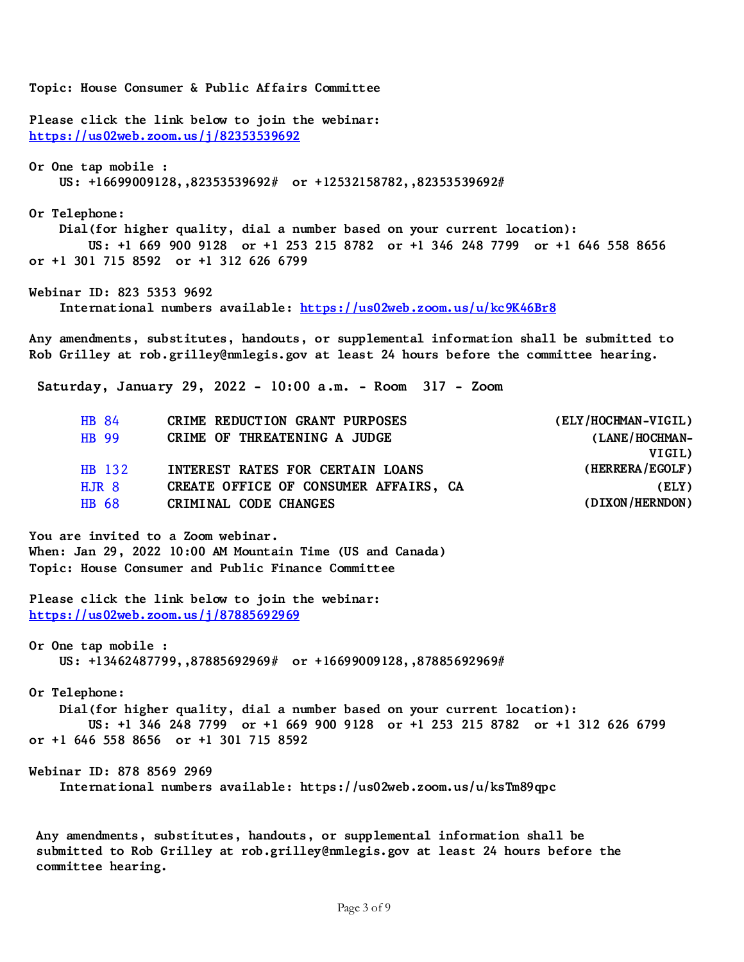**Topic: House Consumer & Public Affairs Committee**

**Please click the link below to join the webinar: <https://us02web.zoom.us/j/82353539692>**

**Or One tap mobile : US: +16699009128,,82353539692# or +12532158782,,82353539692#**

#### **Or Telephone:**

 **Dial(for higher quality, dial a number based on your current location): US: +1 669 900 9128 or +1 253 215 8782 or +1 346 248 7799 or +1 646 558 8656 or +1 301 715 8592 or +1 312 626 6799**

**Webinar ID: 823 5353 9692**

 **International numbers available:<https://us02web.zoom.us/u/kc9K46Br8>**

**Any amendments, substitutes, handouts, or supplemental information shall be submitted to Rob Grilley at rob.grilley@nmlegis.gov at least 24 hours before the committee hearing.**

**Saturday, January 29, 2022 - 10:00 a.m. - Room 317 - Zoom**

| HB 84   | CRIME REDUCTION GRANT PURPOSES        | (ELY/HOCHMAN-VIGIL) |
|---------|---------------------------------------|---------------------|
| HB 99   | CRIME OF THREATENING A JUDGE          | (LANE/HOCHMAN-      |
|         |                                       | VIGIL)              |
| HB 132  | INTEREST RATES FOR CERTAIN LOANS      | (HERRERA/EGOLF)     |
| $HJR$ 8 | CREATE OFFICE OF CONSUMER AFFAIRS, CA | (ELY)               |
| HB 68   | CRIMINAL CODE CHANGES                 | (DIXON/HERNDON)     |
|         |                                       |                     |

**You are invited to a Zoom webinar. When: Jan 29, 2022 10:00 AM Mountain Time (US and Canada) Topic: House Consumer and Public Finance Committee** 

**Please click the link below to join the webinar: <https://us02web.zoom.us/j/87885692969>**

**Or One tap mobile : US: +13462487799,,87885692969# or +16699009128,,87885692969#**

**Or Telephone:**

 **Dial(for higher quality, dial a number based on your current location): US: +1 346 248 7799 or +1 669 900 9128 or +1 253 215 8782 or +1 312 626 6799 or +1 646 558 8656 or +1 301 715 8592** 

**Webinar ID: 878 8569 2969**

 **International numbers available: https://us02web.zoom.us/u/ksTm89qpc**

**Any amendments, substitutes, handouts, or supplemental information shall be submitted to Rob Grilley at rob.grilley@nmlegis.gov at least 24 hours before the committee hearing.**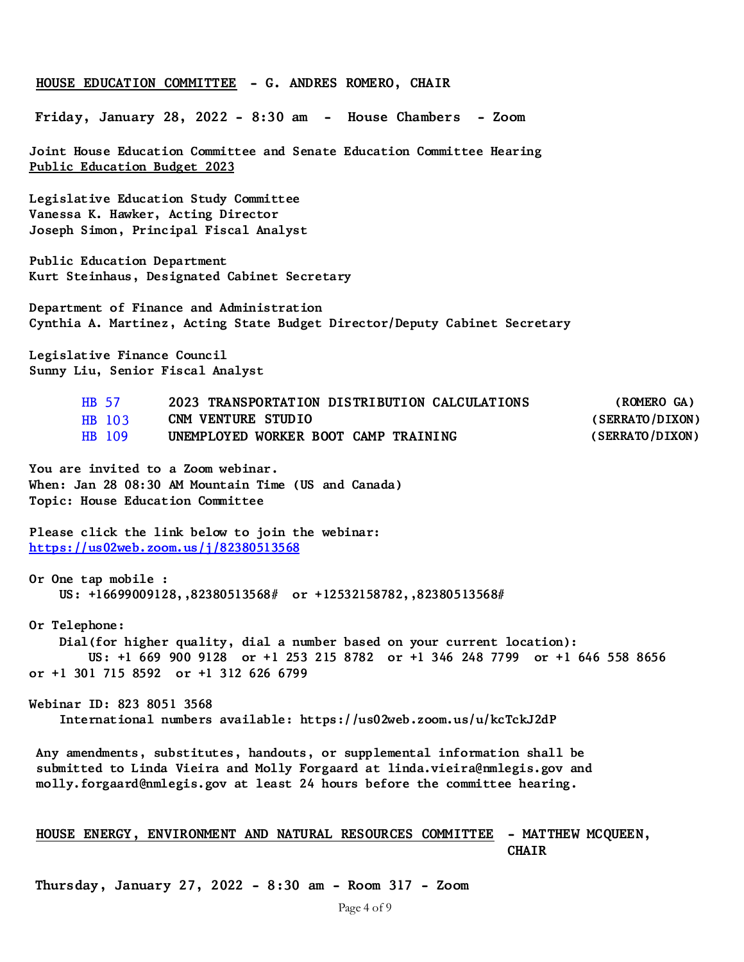#### **HOUSE EDUCATION COMMITTEE - G. ANDRES ROMERO, CHAIR**

**Friday, January 28, 2022 - 8:30 am - House Chambers - Zoom** 

**Joint House Education Committee and Senate Education Committee Hearing Public Education Budget 2023**

**Legislative Education Study Committee Vanessa K. Hawker, Acting Director Joseph Simon, Principal Fiscal Analyst**

**Public Education Department Kurt Steinhaus, Designated Cabinet Secretary**

**Department of Finance and Administration Cynthia A. Martinez, Acting State Budget Director/Deputy Cabinet Secretary** 

**Legislative Finance Council Sunny Liu, Senior Fiscal Analyst**

| <b>HB 57</b>  | 2023 TRANSPORTATION DISTRIBUTION CALCULATIONS | (ROMERO GA)     |
|---------------|-----------------------------------------------|-----------------|
| <b>HB</b> 103 | CNM VENTURE STUDIO                            | (SERRATO/DIXON) |
| HB 109        | UNEMPLOYED WORKER BOOT CAMP TRAINING          | (SERRATO/DIXON) |

**You are invited to a Zoom webinar. When: Jan 28 08:30 AM Mountain Time (US and Canada) Topic: House Education Committee**

**Please click the link below to join the webinar: <https://us02web.zoom.us/j/82380513568>**

**Or One tap mobile : US: +16699009128,,82380513568# or +12532158782,,82380513568#**

**Or Telephone: Dial(for higher quality, dial a number based on your current location): US: +1 669 900 9128 or +1 253 215 8782 or +1 346 248 7799 or +1 646 558 8656 or +1 301 715 8592 or +1 312 626 6799**

**Webinar ID: 823 8051 3568 International numbers available: https://us02web.zoom.us/u/kcTckJ2dP**

**Any amendments, substitutes, handouts, or supplemental information shall be submitted to Linda Vieira and Molly Forgaard at linda.vieira@nmlegis.gov and molly.forgaard@nmlegis.gov at least 24 hours before the committee hearing.**

## **HOUSE ENERGY, ENVIRONMENT AND NATURAL RESOURCES COMMITTEE - MATTHEW MCQUEEN, CHAIR**

**Thursday, January 27, 2022 - 8:30 am - Room 317 - Zoom**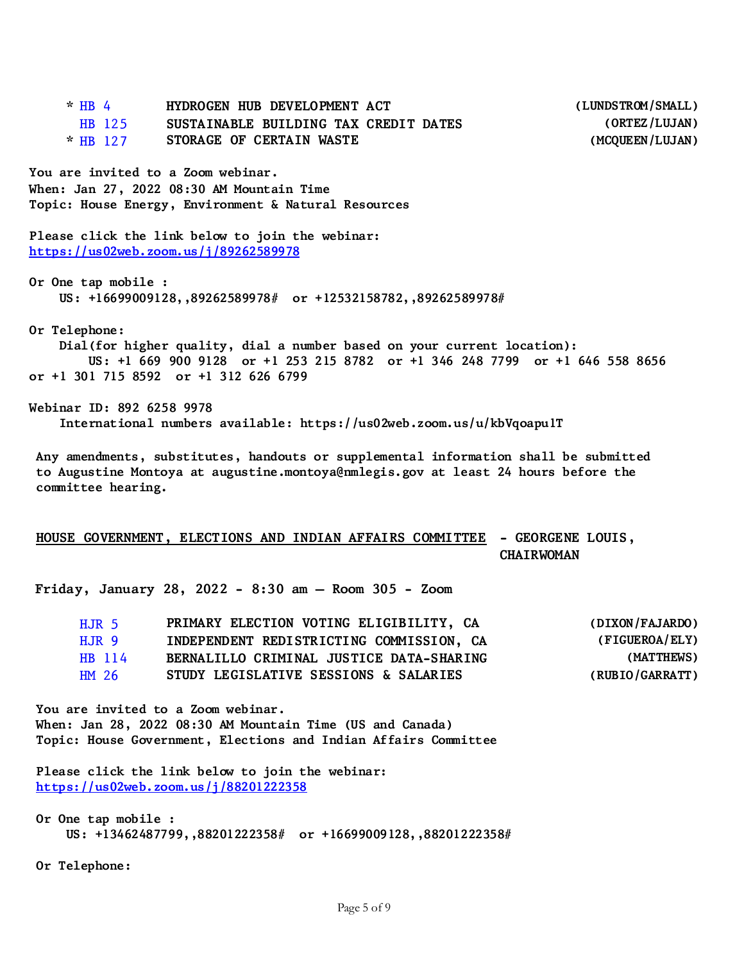| $*$ HB 4                           | HYDROGEN HUB DEVELOPMENT ACT                                                                                   | (LUNDSTROM/SMALL) |
|------------------------------------|----------------------------------------------------------------------------------------------------------------|-------------------|
| HB 125                             | SUSTAINABLE BUILDING TAX CREDIT DATES                                                                          | (ORTEZ/LUJAN)     |
| $*$ HB 127                         | STORAGE OF CERTAIN WASTE                                                                                       | (MCQUEEN/LUJAN)   |
| You are invited to a Zoom webinar. |                                                                                                                |                   |
|                                    | When: Jan 27, 2022 08:30 AM Mountain Time                                                                      |                   |
|                                    | Topic: House Energy, Environment & Natural Resources                                                           |                   |
|                                    | Please click the link below to join the webinar:<br>https://us02web.zoom.us/j/89262589978                      |                   |
| Or One tap mobile :                | US: $+16699009128, 89262589978#$ or $+12532158782, 89262589978#$                                               |                   |
| Or Telephone:                      |                                                                                                                |                   |
|                                    | Dial(for higher quality, dial a number based on your current location):                                        |                   |
|                                    | US: +1 669 900 9128 or +1 253 215 8782 or +1 346 248 7799 or +1 646 558 8656                                   |                   |
|                                    | or +1 301 715 8592 or +1 312 626 6799                                                                          |                   |
| Webinar ID: 892 6258 9978          | International numbers available: https://us02web.zoom.us/u/kbVqoapulT                                          |                   |
|                                    | المسترابية والمستحدث والمستحار والمستحدث والمستحدث والمستحدث والمستحدث والمستحدث والمستحدث والمستحدث والمستحدث |                   |

**Any amendments, substitutes, handouts or supplemental information shall be submitted to Augustine Montoya at augustine.montoya@nmlegis.gov at least 24 hours before the committee hearing.**

## **HOUSE GOVERNMENT, ELECTIONS AND INDIAN AFFAIRS COMMITTEE - GEORGENE LOUIS, CHAIRWOMAN**

**Friday, January 28, 2022 - 8:30 am – Room 305 - Zoom**

| HJR 5            | PRIMARY ELECTION VOTING ELIGIBILITY, CA  | (DIXON/FAJARDO) |
|------------------|------------------------------------------|-----------------|
| HJR 9            | INDEPENDENT REDISTRICTING COMMISSION, CA | (FIGUEROA/ELY)  |
| HB 114           | BERNALILLO CRIMINAL JUSTICE DATA-SHARING | (MATTHEWS)      |
| HM <sub>26</sub> | STUDY LEGISLATIVE SESSIONS & SALARIES    | (RUBIO/GARRATT) |

**You are invited to a Zoom webinar. When: Jan 28, 2022 08:30 AM Mountain Time (US and Canada) Topic: House Government, Elections and Indian Affairs Committee**

**Please click the link below to join the webinar: <https://us02web.zoom.us/j/88201222358>**

**Or One tap mobile : US: +13462487799,,88201222358# or +16699009128,,88201222358#** 

**Or Telephone:**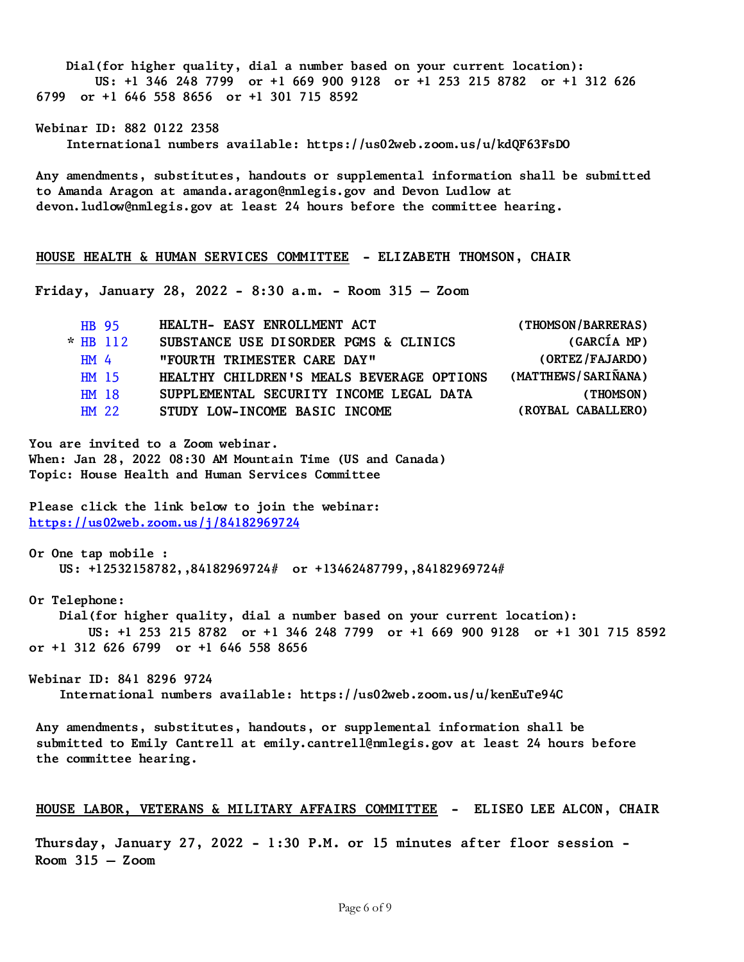**Dial(for higher quality, dial a number based on your current location): US: +1 346 248 7799 or +1 669 900 9128 or +1 253 215 8782 or +1 312 626 6799 or +1 646 558 8656 or +1 301 715 8592 Webinar ID: 882 0122 2358 International numbers available: https://us02web.zoom.us/u/kdQF63FsDO Any amendments, substitutes, handouts or supplemental information shall be submitted to Amanda Aragon at amanda.aragon@nmlegis.gov and Devon Ludlow at devon.ludlow@nmlegis.gov at least 24 hours before the committee hearing. HOUSE HEALTH & HUMAN SERVICES COMMITTEE - ELIZABETH THOMSON, CHAIR Friday, January 28, 2022 - 8:30 a.m. - Room 315 – Zoom** [HB 95](https://www.nmlegis.gov/Legislation/Legislation?Chamber=H&LegType=B&LegNo=95&year=22) **HEALTH- EASY ENROLLMENT ACT (THOMSON/BARRERAS) \*** [HB 112](https://www.nmlegis.gov/Legislation/Legislation?Chamber=H&LegType=B&LegNo=112&year=22) **SUBSTANCE USE DISORDER PGMS & CLINICS (GARCÍA MP)** [HM 4](https://www.nmlegis.gov/Legislation/Legislation?Chamber=H&LegType=M&LegNo=4&year=22) **"FOURTH TRIMESTER CARE DAY" (ORTEZ/FAJARDO)** [HM 15](https://www.nmlegis.gov/Legislation/Legislation?Chamber=H&LegType=M&LegNo=15&year=22) **HEALTHY CHILDREN'S MEALS BEVERAGE OPTIONS (MATTHEWS/SARIÑANA)** [HM 18](https://www.nmlegis.gov/Legislation/Legislation?Chamber=H&LegType=M&LegNo=18&year=22) **SUPPLEMENTAL SECURITY INCOME LEGAL DATA (THOMSON)** [HM 22](https://www.nmlegis.gov/Legislation/Legislation?Chamber=H&LegType=M&LegNo=22&year=22) **STUDY LOW-INCOME BASIC INCOME (ROYBAL CABALLERO) You are invited to a Zoom webinar. When: Jan 28, 2022 08:30 AM Mountain Time (US and Canada) Topic: House Health and Human Services Committee Please click the link below to join the webinar: <https://us02web.zoom.us/j/84182969724> Or One tap mobile : US: +12532158782,,84182969724# or +13462487799,,84182969724# Or Telephone: Dial(for higher quality, dial a number based on your current location): US: +1 253 215 8782 or +1 346 248 7799 or +1 669 900 9128 or +1 301 715 8592 or +1 312 626 6799 or +1 646 558 8656 Webinar ID: 841 8296 9724 International numbers available: https://us02web.zoom.us/u/kenEuTe94C Any amendments, substitutes, handouts, or supplemental information shall be** 

**submitted to Emily Cantrell at emily.cantrell@nmlegis.gov at least 24 hours before the committee hearing.**

### **HOUSE LABOR, VETERANS & MILITARY AFFAIRS COMMITTEE - ELISEO LEE ALCON, CHAIR**

**Thursday, January 27, 2022 - 1:30 P.M. or 15 minutes after floor session - Room 315 – Zoom**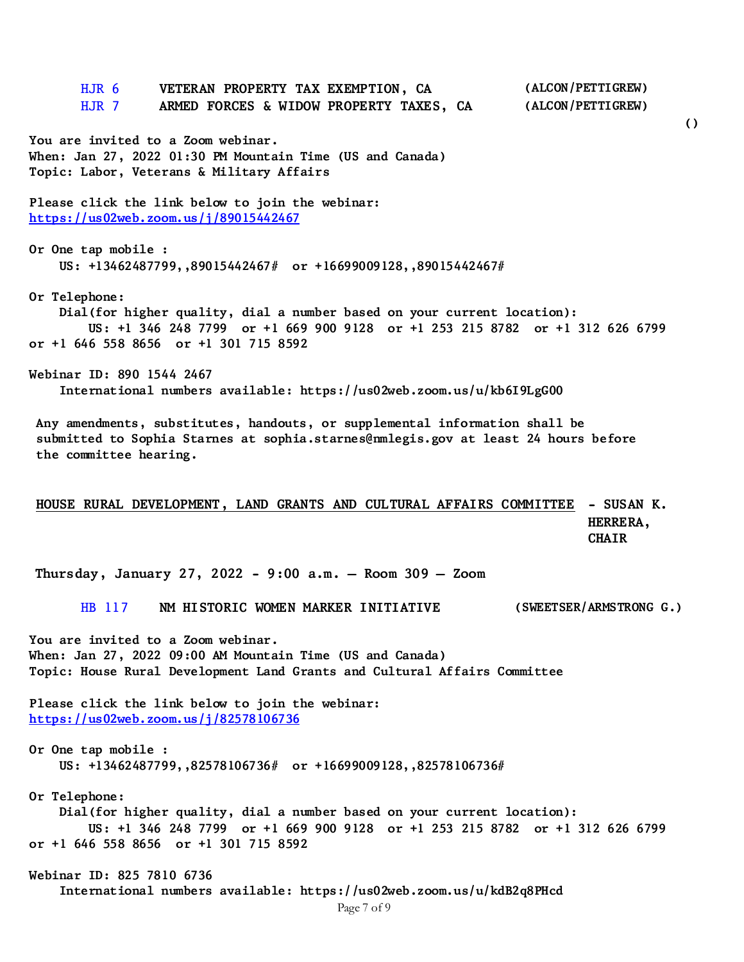[HJR 6](https://www.nmlegis.gov/Legislation/Legislation?Chamber=H&LegType=JR&LegNo=6&year=22) **VETERAN PROPERTY TAX EXEMPTION, CA (ALCON/PETTIGREW)** [HJR 7](https://www.nmlegis.gov/Legislation/Legislation?Chamber=H&LegType=JR&LegNo=7&year=22) **ARMED FORCES & WIDOW PROPERTY TAXES, CA (ALCON/PETTIGREW) You are invited to a Zoom webinar. When: Jan 27, 2022 01:30 PM Mountain Time (US and Canada) Topic: Labor, Veterans & Military Affairs Please click the link below to join the webinar: <https://us02web.zoom.us/j/89015442467> Or One tap mobile : US: +13462487799,,89015442467# or +16699009128,,89015442467# Or Telephone: Dial(for higher quality, dial a number based on your current location): US: +1 346 248 7799 or +1 669 900 9128 or +1 253 215 8782 or +1 312 626 6799 or +1 646 558 8656 or +1 301 715 8592 Webinar ID: 890 1544 2467 International numbers available: https://us02web.zoom.us/u/kb6I9LgG00 Any amendments, substitutes, handouts, or supplemental information shall be submitted to Sophia Starnes at sophia.starnes@nmlegis.gov at least 24 hours before the committee hearing. HOUSE RURAL DEVELOPMENT, LAND GRANTS AND CULTURAL AFFAIRS COMMITTEE - SUSAN K. HERRERA, CHAIR Thursday, January 27, 2022 - 9:00 a.m. – Room 309 – Zoom** [HB 117](https://www.nmlegis.gov/Legislation/Legislation?Chamber=H&LegType=B&LegNo=117&year=22) **NM HISTORIC WOMEN MARKER INITIATIVE (SWEETSER/ARMSTRONG G.) You are invited to a Zoom webinar. When: Jan 27, 2022 09:00 AM Mountain Time (US and Canada) Topic: House Rural Development Land Grants and Cultural Affairs Committee Please click the link below to join the webinar: <https://us02web.zoom.us/j/82578106736> Or One tap mobile : US: +13462487799,,82578106736# or +16699009128,,82578106736# Or Telephone: Dial(for higher quality, dial a number based on your current location): US: +1 346 248 7799 or +1 669 900 9128 or +1 253 215 8782 or +1 312 626 6799 or +1 646 558 8656 or +1 301 715 8592 Webinar ID: 825 7810 6736 International numbers available: https://us02web.zoom.us/u/kdB2q8PHcd**

**()**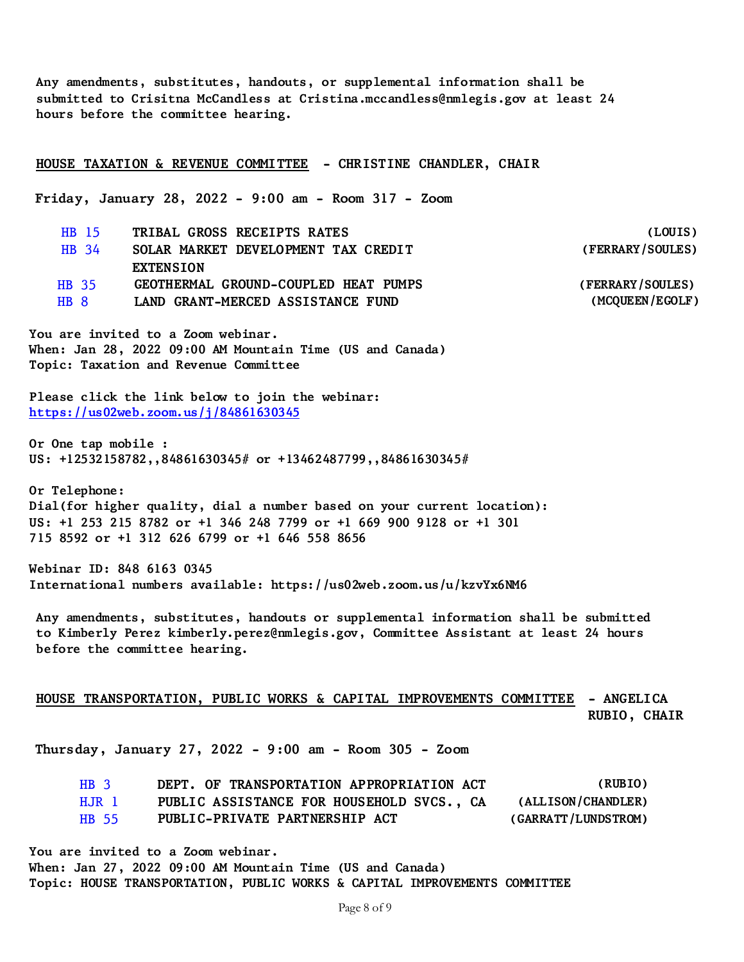**Any amendments, substitutes, handouts, or supplemental information shall be submitted to Crisitna McCandless at Cristina.mccandless@nmlegis.gov at least 24 hours before the committee hearing.**

**HOUSE TAXATION & REVENUE COMMITTEE - CHRISTINE CHANDLER, CHAIR**

**Friday, January 28, 2022 - 9:00 am - Room 317 - Zoom**

[HB 15](https://www.nmlegis.gov/Legislation/Legislation?Chamber=H&LegType=B&LegNo=15&year=22) **TRIBAL GROSS RECEIPTS RATES (LOUIS)** [HB 34](https://www.nmlegis.gov/Legislation/Legislation?Chamber=H&LegType=B&LegNo=34&year=22) **SOLAR MARKET DEVELOPMENT TAX CREDIT EXTENSION (FERRARY/SOULES)** [HB 35](https://www.nmlegis.gov/Legislation/Legislation?Chamber=H&LegType=B&LegNo=35&year=22) **GEOTHERMAL GROUND-COUPLED HEAT PUMPS (FERRARY/SOULES)** [HB 8](https://www.nmlegis.gov/Legislation/Legislation?Chamber=H&LegType=B&LegNo=8&year=22) **LAND GRANT-MERCED ASSISTANCE FUND (MCQUEEN/EGOLF)**

**You are invited to a Zoom webinar. When: Jan 28, 2022 09:00 AM Mountain Time (US and Canada) Topic: Taxation and Revenue Committee**

**Please click the link below to join the webinar: <https://us02web.zoom.us/j/84861630345>**

**Or One tap mobile : US: +12532158782,,84861630345# or +13462487799,,84861630345#**

**Or Telephone: Dial(for higher quality, dial a number based on your current location): US: +1 253 215 8782 or +1 346 248 7799 or +1 669 900 9128 or +1 301 715 8592 or +1 312 626 6799 or +1 646 558 8656**

**Webinar ID: 848 6163 0345 International numbers available: https://us02web.zoom.us/u/kzvYx6NM6**

**Any amendments, substitutes, handouts or supplemental information shall be submitted to Kimberly Perez kimberly.perez@nmlegis.gov, Committee Assistant at least 24 hours before the committee hearing.**

## **HOUSE TRANSPORTATION, PUBLIC WORKS & CAPITAL IMPROVEMENTS COMMITTEE - ANGELICA RUBIO, CHAIR**

**Thursday, January 27, 2022 - 9:00 am - Room 305 - Zoom**

| HB 3   | DEPT. OF TRANSPORTATION APPROPRIATION ACT | (RUBIO)             |
|--------|-------------------------------------------|---------------------|
| H.JR 1 | PUBLIC ASSISTANCE FOR HOUSEHOLD SVCS., CA | (ALLISON/CHANDLER)  |
| HB 55  | PUBLIC-PRIVATE PARTNERSHIP ACT            | (GARRATT/LUNDSTROM) |

**You are invited to a Zoom webinar.**

**When: Jan 27, 2022 09:00 AM Mountain Time (US and Canada) Topic: HOUSE TRANSPORTATION, PUBLIC WORKS & CAPITAL IMPROVEMENTS COMMITTEE**